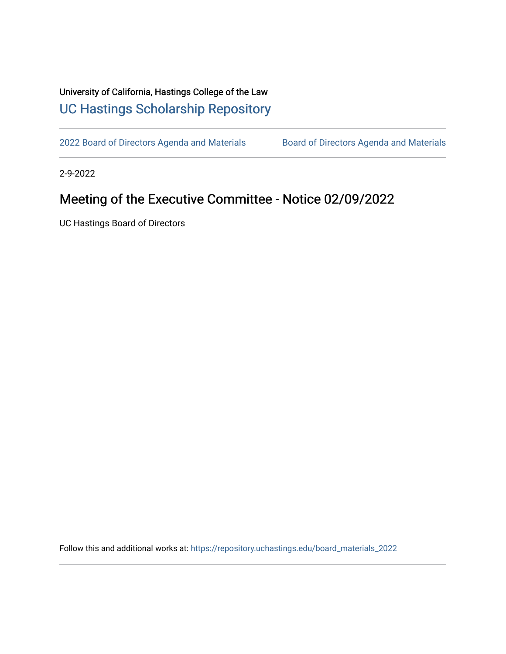## University of California, Hastings College of the Law [UC Hastings Scholarship Repository](https://repository.uchastings.edu/)

[2022 Board of Directors Agenda and Materials](https://repository.uchastings.edu/board_materials_2022) Board of Directors Agenda and Materials

2-9-2022

## Meeting of the Executive Committee - Notice 02/09/2022

UC Hastings Board of Directors

Follow this and additional works at: [https://repository.uchastings.edu/board\\_materials\\_2022](https://repository.uchastings.edu/board_materials_2022?utm_source=repository.uchastings.edu%2Fboard_materials_2022%2F15&utm_medium=PDF&utm_campaign=PDFCoverPages)